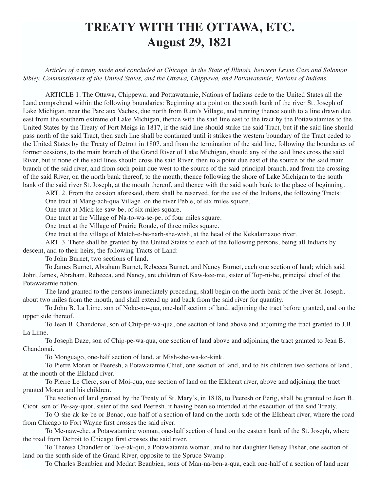## **TREATY WITH THE OTTAWA, ETC. August 29, 1821**

*Articles of a treaty made and concluded at Chicago, in the State of Illinois, between Lewis Cass and Solomon Sibley, Commissioners of the United States, and the Ottawa, Chippewa, and Pottawatamie, Nations of Indians.*

ARTICLE 1. The Ottawa, Chippewa, and Pottawatamie, Nations of Indians cede to the United States all the Land comprehend within the following boundaries: Beginning at a point on the south bank of the river St. Joseph of Lake Michigan, near the Parc aux Vaches, due north from Rum's Village, and running thence south to a line drawn due east from the southern extreme of Lake Michigan, thence with the said line east to the tract by the Pottawatamies to the United States by the Treaty of Fort Meigs in 1817, if the said line should strike the said Tract, but if the said line should pass north of the said Tract, then such line shall be continued until it strikes the western boundary of the Tract ceded to the United States by the Treaty of Detroit in 1807, and from the termination of the said line, following the boundaries of former cessions, to the main branch of the Grand River of Lake Michigan, should any of the said lines cross the said River, but if none of the said lines should cross the said River, then to a point due east of the source of the said main branch of the said river, and from such point due west to the source of the said principal branch, and from the crossing of the said River, on the north bank thereof, to the mouth; thence following the shore of Lake Michigan to the south bank of the said river St. Joseph, at the mouth thereof, and thence with the said south bank to the place of beginning.

ART. 2. From the cession aforesaid, there shall be reserved, for the use of the Indians, the following Tracts:

One tract at Mang-ach-qua Village, on the river Peble, of six miles square.

One tract at Mick-ke-saw-be, of six miles square.

One tract at the Village of Na-to-wa-se-pe, of four miles square.

One tract at the Village of Prairie Ronde, of three miles square.

One tract at the village of Match-e-be-narb-she-wish, at the head of the Kekalamazoo river.

ART. 3. There shall be granted by the United States to each of the following persons, being all Indians by descent, and to their heirs, the following Tracts of Land:

To John Burnet, two sections of land.

To James Burnet, Abraham Burnet, Rebecca Burnet, and Nancy Burnet, each one section of land; which said John, James, Abraham, Rebecca, and Nancy, are children of Kaw-kee-me, sister of Top-ni-be, principal chief of the Potawatamie nation.

The land granted to the persons immediately preceding, shall begin on the north bank of the river St. Joseph, about two miles from the mouth, and shall extend up and back from the said river for quantity.

To John B. La Lime, son of Noke-no-qua, one-half section of land, adjoining the tract before granted, and on the upper side thereof.

To Jean B. Chandonai, son of Chip-pe-wa-qua, one section of land above and adjoining the tract granted to J.B. La Lime.

To Joseph Daze, son of Chip-pe-wa-qua, one section of land above and adjoining the tract granted to Jean B. Chandonai.

To Monguago, one-half section of land, at Mish-she-wa-ko-kink.

To Pierre Moran or Peeresh, a Potawatamie Chief, one section of land, and to his children two sections of land, at the mouth of the Elkland river.

To Pierre Le Clerc, son of Moi-qua, one section of land on the Elkheart river, above and adjoining the tract granted Moran and his children.

The section of land granted by the Treaty of St. Mary's, in 1818, to Peeresh or Perig, shall be granted to Jean B. Cicot, son of Pe-say-quot, sister of the said Peeresh, it having been so intended at the execution of the said Treaty.

To O-she-ak-ke-be or Benac, one-half of a section of land on the north side of the Elkheart river, where the road from Chicago to Fort Wayne first crosses the said river.

To Me-naw-che, a Potawatamine woman, one-half section of land on the eastern bank of the St. Joseph, where the road from Detroit to Chicago first crosses the said river.

To Theresa Chandler or To-e-ak-qui, a Potawatamie woman, and to her daughter Betsey Fisher, one section of land on the south side of the Grand River, opposite to the Spruce Swamp.

To Charles Beaubien and Medart Beaubien, sons of Man-na-ben-a-qua, each one-half of a section of land near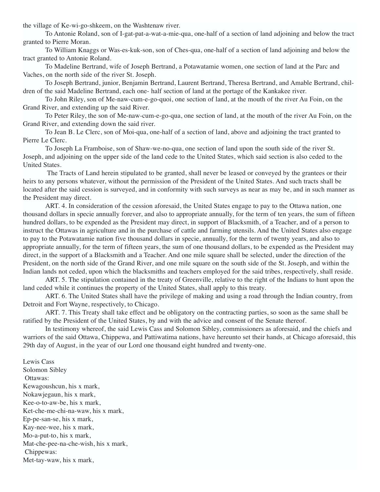the village of Ke-wi-go-shkeem, on the Washtenaw river.

To Antonie Roland, son of I-gat-pat-a-wat-a-mie-qua, one-half of a section of land adjoining and below the tract granted to Pierre Moran.

To William Knaggs or Was-es-kuk-son, son of Ches-qua, one-half of a section of land adjoining and below the tract granted to Antonie Roland.

To Madeline Bertrand, wife of Joseph Bertrand, a Potawatamie women, one section of land at the Parc and Vaches, on the north side of the river St. Joseph.

To Joseph Bertrand, junior, Benjamin Bertrand, Laurent Bertrand, Theresa Bertrand, and Amable Bertrand, children of the said Madeline Bertrand, each one- half section of land at the portage of the Kankakee river.

To John Riley, son of Me-naw-cum-e-go-quoi, one section of land, at the mouth of the river Au Foin, on the Grand River, and extending up the said River.

To Peter Riley, the son of Me-naw-cum-e-go-qua, one section of land, at the mouth of the river Au Foin, on the Grand River, and extending down the said river.

To Jean B. Le Clerc, son of Moi-qua, one-half of a section of land, above and adjoining the tract granted to Pierre Le Clerc.

To Joseph La Framboise, son of Shaw-we-no-qua, one section of land upon the south side of the river St. Joseph, and adjoining on the upper side of the land cede to the United States, which said section is also ceded to the United States.

The Tracts of Land herein stipulated to be granted, shall never be leased or conveyed by the grantees or their heirs to any persons whatever, without the permission of the President of the United States. And such tracts shall be located after the said cession is surveyed, and in conformity with such surveys as near as may be, and in such manner as the President may direct.

ART. 4. In consideration of the cession aforesaid, the United States engage to pay to the Ottawa nation, one thousand dollars in specie annually forever, and also to appropriate annually, for the term of ten years, the sum of fifteen hundred dollars, to be expended as the President may direct, in support of Blacksmith, of a Teacher, and of a person to instruct the Ottawas in agriculture and in the purchase of cattle and farming utensils. And the United States also engage to pay to the Potawatamie nation five thousand dollars in specie, annually, for the term of twenty years, and also to appropriate annually, for the term of fifteen years, the sum of one thousand dollars, to be expended as the President may direct, in the support of a Blacksmith and a Teacher. And one mile square shall be selected, under the direction of the President, on the north side of the Grand River, and one mile square on the south side of the St. Joseph, and within the Indian lands not ceded, upon which the blacksmiths and teachers employed for the said tribes, respectively, shall reside.

ART. 5. The stipulation contained in the treaty of Greenville, relative to the right of the Indians to hunt upon the land ceded while it continues the property of the United States, shall apply to this treaty.

ART. 6. The United States shall have the privilege of making and using a road through the Indian country, from Detroit and Fort Wayne, respectively, to Chicago.

ART. 7. This Treaty shall take effect and be obligatory on the contracting parties, so soon as the same shall be ratified by the President of the United States, by and with the advice and consent of the Senate thereof.

In testimony whereof, the said Lewis Cass and Solomon Sibley, commissioners as aforesaid, and the chiefs and warriors of the said Ottawa, Chippewa, and Pattiwatima nations, have hereunto set their hands, at Chicago aforesaid, this 29th day of August, in the year of our Lord one thousand eight hundred and twenty-one.

Lewis Cass Solomon Sibley Ottawas: Kewagoushcun, his x mark, Nokawjegaun, his x mark, Kee-o-to-aw-be, his x mark, Ket-che-me-chi-na-waw, his x mark, Ep-pe-san-se, his x mark, Kay-nee-wee, his x mark, Mo-a-put-to, his x mark, Mat-che-pee-na-che-wish, his x mark, Chippewas: Met-tay-waw, his x mark,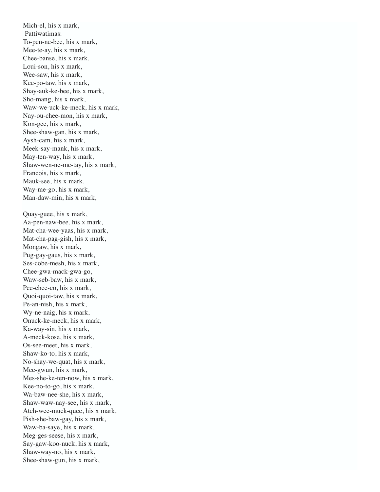Mich-el, his x mark, Pattiwatimas: To-pen-ne-bee, his x mark, Mee-te-ay, his x mark, Chee-banse, his x mark, Loui-son, his x mark, Wee-saw, his x mark, Kee-po-taw, his x mark, Shay-auk-ke-bee, his x mark, Sho-mang, his x mark, Waw-we-uck-ke-meck, his x mark, Nay-ou-chee-mon, his x mark, Kon-gee, his x mark, Shee-shaw-gan, his x mark, Aysh-cam, his x mark, Meek-say-mank, his x mark, May-ten-way, his x mark, Shaw-wen-ne-me-tay, his x mark, Francois, his x mark, Mauk-see, his x mark, Way-me-go, his x mark, Man-daw-min, his x mark, Quay-guee, his x mark, Aa-pen-naw-bee, his x mark, Mat-cha-wee-yaas, his x mark, Mat-cha-pag-gish, his x mark, Mongaw, his x mark, Pug-gay-gaus, his x mark, Ses-cobe-mesh, his x mark, Chee-gwa-mack-gwa-go, Waw-seb-baw, his x mark, Pee-chee-co, his x mark, Quoi-quoi-taw, his x mark, Pe-an-nish, his x mark, Wy-ne-naig, his x mark, Onuck-ke-meck, his x mark, Ka-way-sin, his x mark, A-meck-kose, his x mark, Os-see-meet, his x mark, Shaw-ko-to, his x mark, No-shay-we-quat, his x mark, Mee-gwun, his x mark, Mes-she-ke-ten-now, his x mark, Kee-no-to-go, his x mark, Wa-baw-nee-she, his x mark, Shaw-waw-nay-see, his x mark, Atch-wee-muck-quee, his x mark, Pish-she-baw-gay, his x mark, Waw-ba-saye, his x mark, Meg-ges-seese, his x mark, Say-gaw-koo-nuck, his x mark, Shaw-way-no, his x mark, Shee-shaw-gun, his x mark,